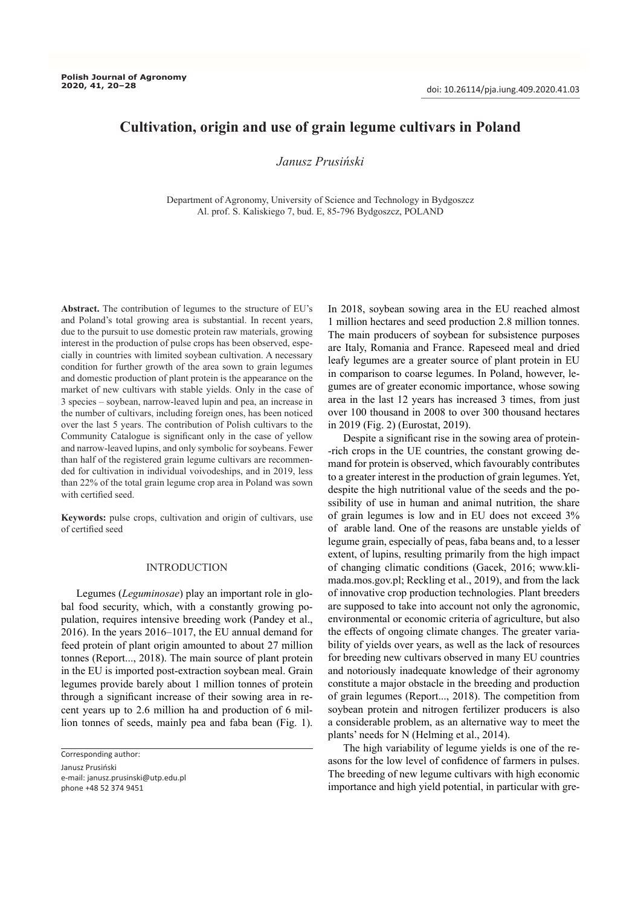# **Cultivation, origin and use of grain legume cultivars in Poland**

## *Janusz Prusiński*

Department of Agronomy, University of Science and Technology in Bydgoszcz Al. prof. S. Kaliskiego 7, bud. E, 85-796 Bydgoszcz, POLAND

**Abstract.** The contribution of legumes to the structure of EU's and Poland's total growing area is substantial. In recent years, due to the pursuit to use domestic protein raw materials, growing interest in the production of pulse crops has been observed, especially in countries with limited soybean cultivation. A necessary condition for further growth of the area sown to grain legumes and domestic production of plant protein is the appearance on the market of new cultivars with stable yields. Only in the case of 3 species – soybean, narrow-leaved lupin and pea, an increase in the number of cultivars, including foreign ones, has been noticed over the last 5 years. The contribution of Polish cultivars to the Community Catalogue is significant only in the case of yellow and narrow-leaved lupins, and only symbolic for soybeans. Fewer than half of the registered grain legume cultivars are recommended for cultivation in individual voivodeships, and in 2019, less than 22% of the total grain legume crop area in Poland was sown with certified seed.

**Keywords:** pulse crops, cultivation and origin of cultivars, use of certified seed

### INTRODUCTION

Legumes (*Leguminosae*) play an important role in global food security, which, with a constantly growing population, requires intensive breeding work (Pandey et al., 2016). In the years 2016–1017, the EU annual demand for feed protein of plant origin amounted to about 27 million tonnes (Report..., 2018). The main source of plant protein in the EU is imported post-extraction soybean meal. Grain legumes provide barely about 1 million tonnes of protein through a significant increase of their sowing area in recent years up to 2.6 million ha and production of 6 million tonnes of seeds, mainly pea and faba bean (Fig. 1). In 2018, soybean sowing area in the EU reached almost 1 million hectares and seed production 2.8 million tonnes. The main producers of soybean for subsistence purposes are Italy, Romania and France. Rapeseed meal and dried leafy legumes are a greater source of plant protein in EU in comparison to coarse legumes. In Poland, however, legumes are of greater economic importance, whose sowing area in the last 12 years has increased 3 times, from just over 100 thousand in 2008 to over 300 thousand hectares in 2019 (Fig. 2) (Eurostat, 2019).

Despite a significant rise in the sowing area of protein- -rich crops in the UE countries, the constant growing demand for protein is observed, which favourably contributes to a greater interest in the production of grain legumes. Yet, despite the high nutritional value of the seeds and the possibility of use in human and animal nutrition, the share of grain legumes is low and in EU does not exceed 3% of arable land. One of the reasons are unstable yields of legume grain, especially of peas, faba beans and, to a lesser extent, of lupins, resulting primarily from the high impact of changing climatic conditions (Gacek, 2016; www.klimada.mos.gov.pl; Reckling et al., 2019), and from the lack of innovative crop production technologies. Plant breeders are supposed to take into account not only the agronomic, environmental or economic criteria of agriculture, but also the effects of ongoing climate changes. The greater variability of yields over years, as well as the lack of resources for breeding new cultivars observed in many EU countries and notoriously inadequate knowledge of their agronomy constitute a major obstacle in the breeding and production of grain legumes (Report..., 2018). The competition from soybean protein and nitrogen fertilizer producers is also a considerable problem, as an alternative way to meet the plants' needs for N (Helming et al., 2014).

The high variability of legume yields is one of the reasons for the low level of confidence of farmers in pulses. The breeding of new legume cultivars with high economic importance and high yield potential, in particular with gre-

Corresponding author:

Janusz Prusiński e-mail: janusz.prusinski@utp.edu.pl phone +48 52 374 9451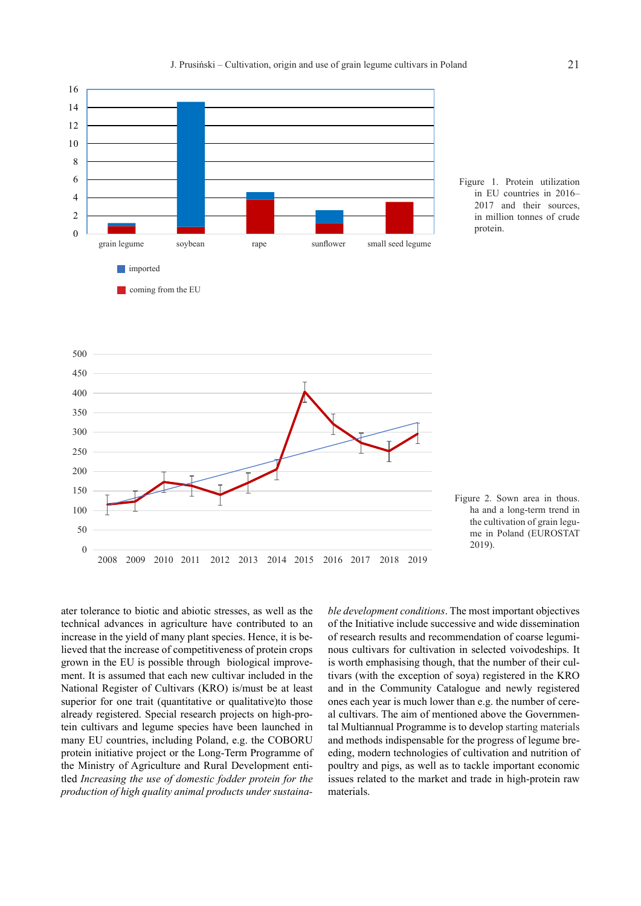

Figure 1. Protein utilization in EU countries in 2016– 2017 and their sources, in million tonnes of crude protein.





ater tolerance to biotic and abiotic stresses, as well as the technical advances in agriculture have contributed to an increase in the yield of many plant species. Hence, it is believed that the increase of competitiveness of protein crops grown in the EU is possible through biological improvement. It is assumed that each new cultivar included in the National Register of Cultivars (KRO) is/must be at least superior for one trait (quantitative or qualitative)to those already registered. Special research projects on high-protein cultivars and legume species have been launched in many EU countries, including Poland, e.g. the COBORU protein initiative project or the Long-Term Programme of the Ministry of Agriculture and Rural Development entitled *Increasing the use of domestic fodder protein for the production of high quality animal products under sustaina-* *ble development conditions*. The most important objectives of the Initiative include successive and wide dissemination of research results and recommendation of coarse leguminous cultivars for cultivation in selected voivodeships. It is worth emphasising though, that the number of their cultivars (with the exception of soya) registered in the KRO and in the Community Catalogue and newly registered ones each year is much lower than e.g. the number of cereal cultivars. The aim of mentioned above the Governmental Multiannual Programme is to develop starting materials and methods indispensable for the progress of legume breeding, modern technologies of cultivation and nutrition of poultry and pigs, as well as to tackle important economic issues related to the market and trade in high-protein raw materials.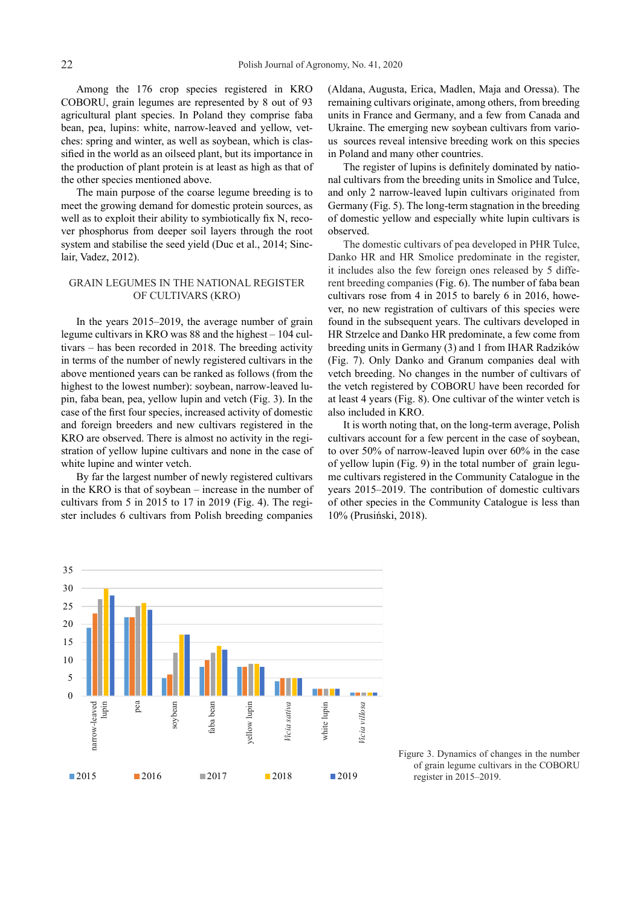Among the 176 crop species registered in KRO COBORU, grain legumes are represented by 8 out of 93 agricultural plant species. In Poland they comprise faba bean, pea, lupins: white, narrow-leaved and yellow, vetches: spring and winter, as well as soybean, which is classified in the world as an oilseed plant, but its importance in the production of plant protein is at least as high as that of the other species mentioned above.

The main purpose of the coarse legume breeding is to meet the growing demand for domestic protein sources, as well as to exploit their ability to symbiotically fix N, recover phosphorus from deeper soil layers through the root system and stabilise the seed yield (Duc et al., 2014; Sinclair, Vadez, 2012).

## GRAIN LEGUMES IN THE NATIONAL REGISTER OF CULTIVARS (KRO)

In the years 2015–2019, the average number of grain legume cultivars in KRO was 88 and the highest – 104 cultivars – has been recorded in 2018. The breeding activity in terms of the number of newly registered cultivars in the above mentioned years can be ranked as follows (from the highest to the lowest number): soybean, narrow-leaved lupin, faba bean, pea, yellow lupin and vetch (Fig. 3). In the case of the first four species, increased activity of domestic and foreign breeders and new cultivars registered in the KRO are observed. There is almost no activity in the registration of yellow lupine cultivars and none in the case of white lupine and winter vetch.

By far the largest number of newly registered cultivars in the KRO is that of soybean – increase in the number of cultivars from 5 in 2015 to 17 in 2019 (Fig. 4). The register includes 6 cultivars from Polish breeding companies (Aldana, Augusta, Erica, Madlen, Maja and Oressa). The remaining cultivars originate, among others, from breeding units in France and Germany, and a few from Canada and Ukraine. The emerging new soybean cultivars from various sources reveal intensive breeding work on this species in Poland and many other countries.

The register of lupins is definitely dominated by national cultivars from the breeding units in Smolice and Tulce, and only 2 narrow-leaved lupin cultivars originated from Germany (Fig. 5). The long-term stagnation in the breeding of domestic yellow and especially white lupin cultivars is observed.

The domestic cultivars of pea developed in PHR Tulce, Danko HR and HR Smolice predominate in the register, it includes also the few foreign ones released by 5 different breeding companies (Fig. 6). The number of faba bean cultivars rose from 4 in 2015 to barely 6 in 2016, however, no new registration of cultivars of this species were found in the subsequent years. The cultivars developed in HR Strzelce and Danko HR predominate, a few come from breeding units in Germany (3) and 1 from IHAR Radzików (Fig. 7). Only Danko and Granum companies deal with vetch breeding. No changes in the number of cultivars of the vetch registered by COBORU have been recorded for at least 4 years (Fig. 8). One cultivar of the winter vetch is also included in KRO.

It is worth noting that, on the long-term average, Polish cultivars account for a few percent in the case of soybean, to over 50% of narrow-leaved lupin over 60% in the case of yellow lupin (Fig. 9) in the total number of grain legume cultivars registered in the Community Catalogue in the years 2015–2019. The contribution of domestic cultivars of other species in the Community Catalogue is less than 10% (Prusiński, 2018).



Figure 3. Dynamics of changes in the number of grain legume cultivars in the COBORU register in 2015–2019.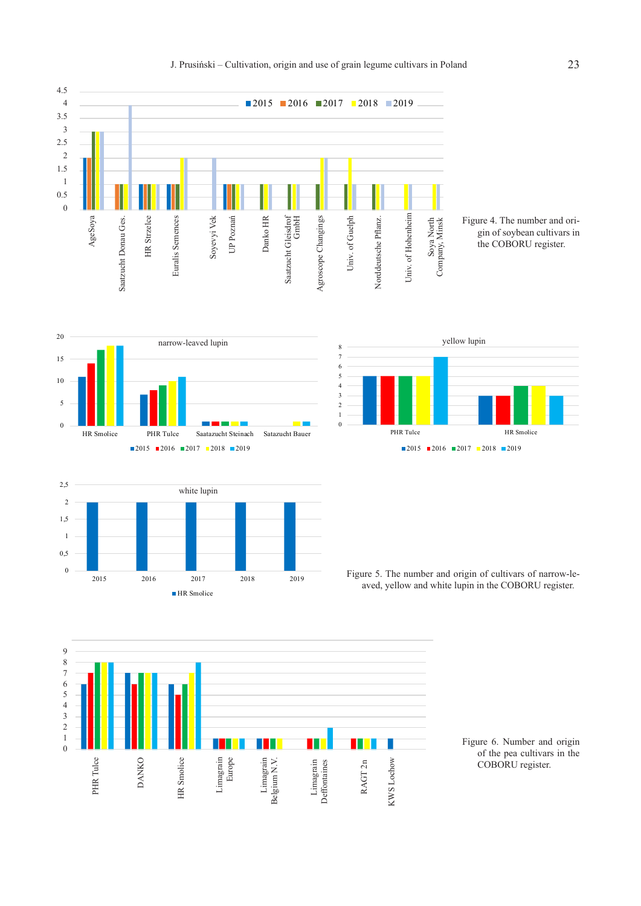

## Figure 4. The number and origin of soybean cultivars in the COBORU register.







Figure 5. The number and origin of cultivars of narrow-leaved, yellow and white lupin in the COBORU register.



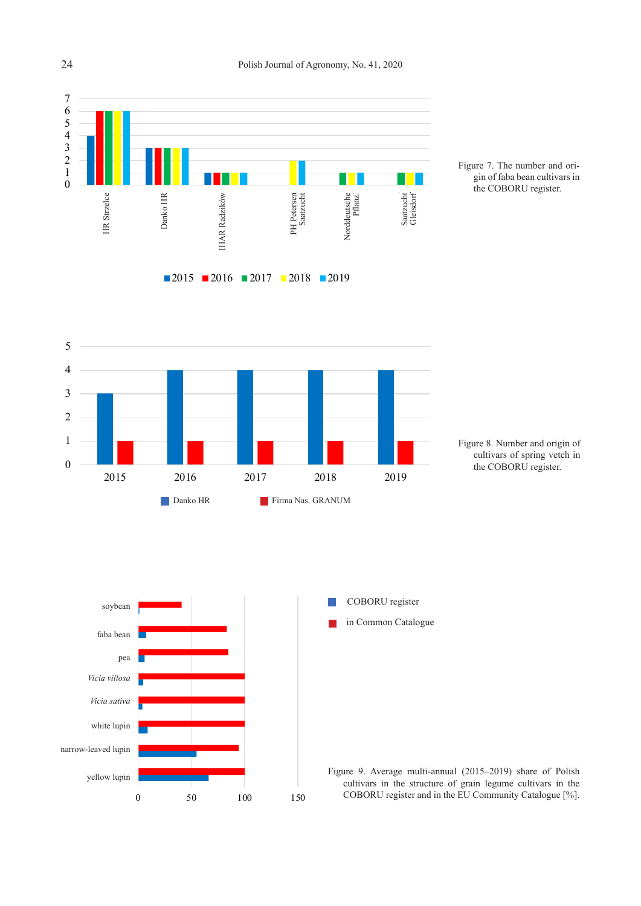

2015 2016 2017 2018 2019











COBORU register in Common Catalogue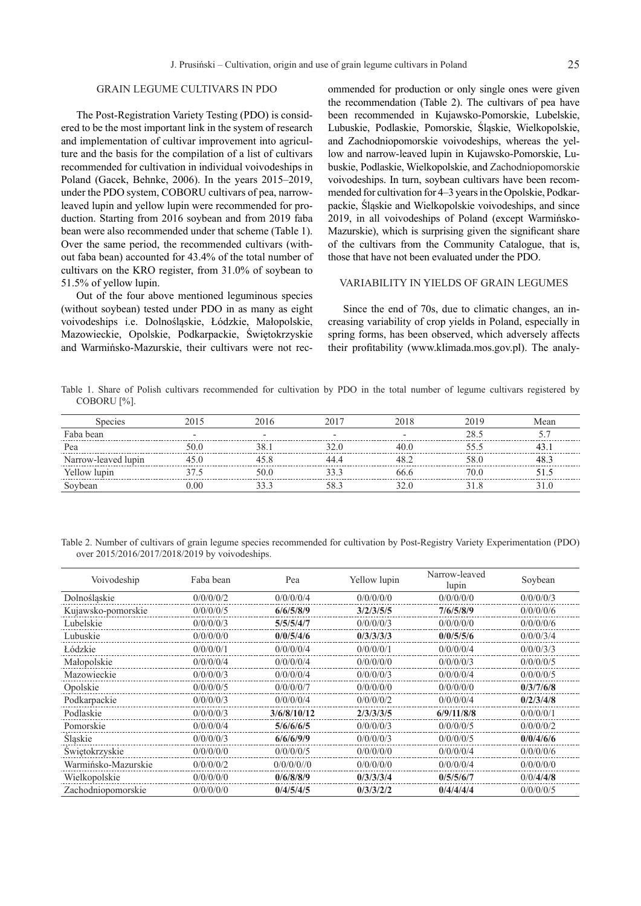## GRAIN LEGUME CULTIVARS IN PDO

The Post-Registration Variety Testing (PDO) is considered to be the most important link in the system of research and implementation of cultivar improvement into agriculture and the basis for the compilation of a list of cultivars recommended for cultivation in individual voivodeships in Poland (Gacek, Behnke, 2006). In the years 2015–2019, under the PDO system, COBORU cultivars of pea, narrowleaved lupin and yellow lupin were recommended for production. Starting from 2016 soybean and from 2019 faba bean were also recommended under that scheme (Table 1). Over the same period, the recommended cultivars (without faba bean) accounted for 43.4% of the total number of cultivars on the KRO register, from 31.0% of soybean to 51.5% of yellow lupin.

Out of the four above mentioned leguminous species (without soybean) tested under PDO in as many as eight voivodeships i.e. Dolnośląskie, Łódzkie, Małopolskie, Mazowieckie, Opolskie, Podkarpackie, Świętokrzyskie and Warmińsko-Mazurskie, their cultivars were not recommended for production or only single ones were given the recommendation (Table 2). The cultivars of pea have been recommended in Kujawsko-Pomorskie, Lubelskie, Lubuskie, Podlaskie, Pomorskie, Śląskie, Wielkopolskie, and Zachodniopomorskie voivodeships, whereas the yellow and narrow-leaved lupin in Kujawsko-Pomorskie, Lubuskie, Podlaskie, Wielkopolskie, and Zachodniopomorskie voivodeships. In turn, soybean cultivars have been recommended for cultivation for 4–3 years in the Opolskie, Podkarpackie, Śląskie and Wielkopolskie voivodeships, and since 2019, in all voivodeships of Poland (except Warmińsko-Mazurskie), which is surprising given the significant share of the cultivars from the Community Catalogue, that is, those that have not been evaluated under the PDO.

### VARIABILITY IN YIELDS OF GRAIN LEGUMES

Since the end of 70s, due to climatic changes, an increasing variability of crop yields in Poland, especially in spring forms, has been observed, which adversely affects their profitability (www.klimada.mos.gov.pl). The analy-

Table 1. Share of Polish cultivars recommended for cultivation by PDO in the total number of legume cultivars registered by COBORU [%].

| Species             |  |  | √lean |
|---------------------|--|--|-------|
| Faba bean           |  |  |       |
| Pea                 |  |  |       |
| Narrow-leaved lupin |  |  |       |
| Yellow lupin        |  |  |       |
| Soybean             |  |  |       |

Table 2. Number of cultivars of grain legume species recommended for cultivation by Post-Registry Variety Experimentation (PDO) over 2015/2016/2017/2018/2019 by voivodeships.

| Voivodeship         | Faba bean | Pea         | Yellow lupin | Narrow-leaved<br>lupin | Soybean   |
|---------------------|-----------|-------------|--------------|------------------------|-----------|
| Dolnoślaskie        | 0/0/0/0/2 | 0/0/0/0/4   | 0/0/0/0/0    | 0/0/0/0/0              | 0/0/0/0/3 |
| Kujawsko-pomorskie  | 0/0/0/0/5 | 6/6/5/8/9   | 3/2/3/5/5    | 7/6/5/8/9              | 0/0/0/0/6 |
| Lubelskie           | 0/0/0/0/3 | 5/5/5/4/7   | 0/0/0/0/3    | 0/0/0/0/0              | 0/0/0/0/6 |
| Lubuskie            | 0/0/0/0/0 | 0/0/5/4/6   | 0/3/3/3/3    | 0/0/5/5/6              | 0/0/0/3/4 |
| Lódzkie             | 0/0/0/0/1 | 0/0/0/0/4   | 0/0/0/0/1    | 0/0/0/0/4              | 0/0/0/3/3 |
| Małopolskie         | 0/0/0/0/4 | 0/0/0/0/4   | 0/0/0/0/0    | 0/0/0/0/3              | 0/0/0/0/5 |
| Mazowieckie         | 0/0/0/0/3 | 0/0/0/0/4   | 0/0/0/0/3    | 0/0/0/0/4              | 0/0/0/0/5 |
| Opolskie            | 0/0/0/0/5 | 0/0/0/0/7   | 0/0/0/0/0    | 0/0/0/0/0              | 0/3/7/6/8 |
| Podkarpackie        | 0/0/0/0/3 | 0/0/0/0/4   | 0/0/0/0/2    | 0/0/0/0/4              | 0/2/3/4/8 |
| Podlaskie           | 0/0/0/0/3 | 3/6/8/10/12 | 2/3/3/3/5    | 6/9/11/8/8             | 0/0/0/0/1 |
| Pomorskie           | 0/0/0/0/4 | 5/6/6/6/5   | 0/0/0/0/3    | 0/0/0/0/5              | 0/0/0/0/2 |
| Slaskie             | 0/0/0/0/3 | 6/6/6/9/9   | 0/0/0/0/3    | 0/0/0/0/5              | 0/0/4/6/6 |
| Swiętokrzyskie      | 0/0/0/0/0 | 0/0/0/0/5   | 0/0/0/0/0    | 0/0/0/0/4              | 0/0/0/0/6 |
| Warmińsko-Mazurskie | 0/0/0/0/2 | 0/0/0/0/0   | 0/0/0/0/0    | 0/0/0/0/4              | 0/0/0/0/0 |
| Wielkopolskie       | 0/0/0/0/0 | 0/6/8/8/9   | 0/3/3/3/4    | 0/5/5/6/7              | 0/0/4/4/8 |
| Zachodniopomorskie  | 0/0/0/0/0 | 0/4/5/4/5   | 0/3/3/2/2    | 0/4/4/4/4              | 0/0/0/0/5 |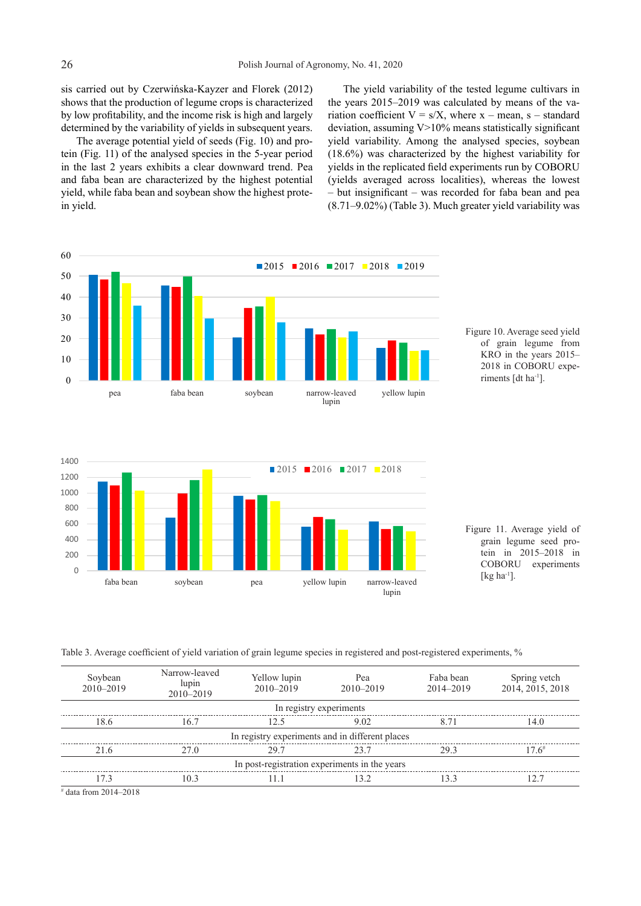40 by low profitability, and the income risk is high and largely shows that the production of legume crops is characterized sis carried out by Czerwińska-Kayzer and Florek (2012) determined by the variability of yields in subsequent years.

yield, while faba bean and soybean show the highest prote-<br>in viald and faba bean are characterized by the highest potential tein (Fig. 11) of the analysed species in the 5-year period The average potential yield of seeds (Fig. 10) and proin the last 2 years exhibits a clear downward trend. Pea in yield.

 $(8.71–9.02%)$  (Table 3). Much greater yield variability was The yield variability of the tested legume cultivars in the years 2015–2019 was calculated by means of the variation coefficient  $V = s/X$ , where x – mean, s – standard deviation, assuming  $V>10\%$  means statistically significant yield variability. Among the analysed species, soybean (18.6%) was characterized by the highest variability for yields in the replicated field experiments run by COBORU (yields averaged across localities), whereas the lowest – but insignificant – was recorded for faba bean and pea







Figure 11. Average yield of grain legume seed protein in 2015–2018 in COBORU experiments [ $kg$  ha<sup>-1</sup>].

Table 3. Average coefficient of yield variation of grain legume species in registered and post-registered experiments, %

| Soybean<br>2010-2019                            | Narrow-leaved<br>lupin<br>$2010 - 2019$ | Yellow lupin<br>$2010 - 2019$ | Pea<br>2010-2019 | Faba bean<br>2014-2019 | Spring vetch<br>2014, 2015, 2018 |  |  |
|-------------------------------------------------|-----------------------------------------|-------------------------------|------------------|------------------------|----------------------------------|--|--|
| In registry experiments                         |                                         |                               |                  |                        |                                  |  |  |
| 18.6                                            | 16.7                                    | 12.5                          | 9.02             | 8 71                   | 14.0                             |  |  |
| In registry experiments and in different places |                                         |                               |                  |                        |                                  |  |  |
| 21.6                                            | 27.0                                    | 29.7                          | 23.7             | 293                    | $17.6^{\#}$                      |  |  |
| In post-registration experiments in the years   |                                         |                               |                  |                        |                                  |  |  |
|                                                 | 10.3                                    |                               | 32               | 133                    | 12.7                             |  |  |
| .                                               |                                         |                               |                  |                        |                                  |  |  |

# data from 2014–2018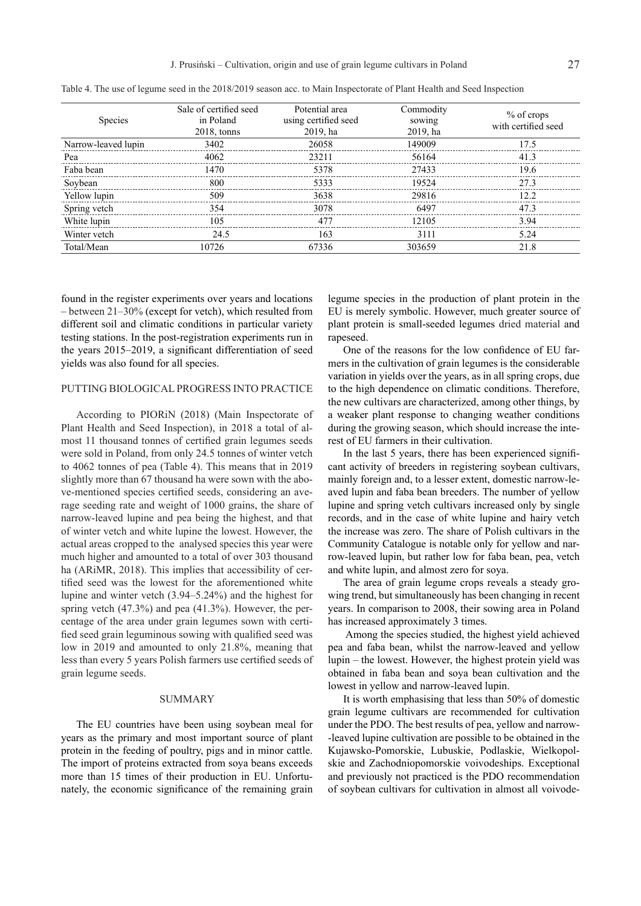| <b>Species</b>      | Sale of certified seed<br>in Poland<br>$2018$ , tonns | Potential area<br>using certified seed<br>2019, ha | Commodity<br>sowing<br>2019, ha | $%$ of crops<br>with certified seed |
|---------------------|-------------------------------------------------------|----------------------------------------------------|---------------------------------|-------------------------------------|
| Narrow-leaved lupin | 3402                                                  | 26058                                              | 149009                          | 17.5                                |
| Pea                 | 4062                                                  | 23211                                              | 56164                           | 41.3                                |
| Faba bean           | 1470                                                  | 5378                                               | 27433                           | 19.6                                |
| Soybean             | 800                                                   | 5333                                               | 19524                           | 273                                 |
| Yellow lupin        | 509                                                   | 3638                                               | 29816                           | 12.2                                |
| Spring vetch        | 354                                                   | 3078                                               | 6497                            | 473                                 |
| White lupin         | 105                                                   | 477                                                | 12105                           | 394                                 |
| Winter vetch        | 24.5                                                  | 163                                                | 3111                            | 5.24                                |
| Total/Mean          | 10726                                                 | 67336                                              | 303659                          | 21.8                                |

Table 4. The use of legume seed in the 2018/2019 season acc. to Main Inspectorate of Plant Health and Seed Inspection

found in the register experiments over years and locations – between 21–30% (except for vetch), which resulted from different soil and climatic conditions in particular variety testing stations. In the post-registration experiments run in the years 2015–2019, a significant differentiation of seed yields was also found for all species.

### PUTTING BIOLOGICAL PROGRESS INTO PRACTICE

According to PIORiN (2018) (Main Inspectorate of Plant Health and Seed Inspection), in 2018 a total of almost 11 thousand tonnes of certified grain legumes seeds were sold in Poland, from only 24.5 tonnes of winter vetch to 4062 tonnes of pea (Table 4). This means that in 2019 slightly more than 67 thousand ha were sown with the above-mentioned species certified seeds, considering an average seeding rate and weight of 1000 grains, the share of narrow-leaved lupine and pea being the highest, and that of winter vetch and white lupine the lowest. However, the actual areas cropped to the analysed species this year were much higher and amounted to a total of over 303 thousand ha (ARiMR, 2018). This implies that accessibility of certified seed was the lowest for the aforementioned white lupine and winter vetch (3.94–5.24%) and the highest for spring vetch (47.3%) and pea (41.3%). However, the percentage of the area under grain legumes sown with certified seed grain leguminous sowing with qualified seed was low in 2019 and amounted to only 21.8%, meaning that less than every 5 years Polish farmers use certified seeds of grain legume seeds.

### SUMMARY

The EU countries have been using soybean meal for years as the primary and most important source of plant protein in the feeding of poultry, pigs and in minor cattle. The import of proteins extracted from soya beans exceeds more than 15 times of their production in EU. Unfortunately, the economic significance of the remaining grain legume species in the production of plant protein in the EU is merely symbolic. However, much greater source of plant protein is small-seeded legumes dried material and rapeseed.

One of the reasons for the low confidence of EU farmers in the cultivation of grain legumes is the considerable variation in yields over the years, as in all spring crops, due to the high dependence on climatic conditions. Therefore, the new cultivars are characterized, among other things, by a weaker plant response to changing weather conditions during the growing season, which should increase the interest of EU farmers in their cultivation.

In the last 5 years, there has been experienced significant activity of breeders in registering soybean cultivars, mainly foreign and, to a lesser extent, domestic narrow-leaved lupin and faba bean breeders. The number of yellow lupine and spring vetch cultivars increased only by single records, and in the case of white lupine and hairy vetch the increase was zero. The share of Polish cultivars in the Community Catalogue is notable only for yellow and narrow-leaved lupin, but rather low for faba bean, pea, vetch and white lupin, and almost zero for soya.

The area of grain legume crops reveals a steady growing trend, but simultaneously has been changing in recent years. In comparison to 2008, their sowing area in Poland has increased approximately 3 times.

 Among the species studied, the highest yield achieved pea and faba bean, whilst the narrow-leaved and yellow lupin – the lowest. However, the highest protein yield was obtained in faba bean and soya bean cultivation and the lowest in yellow and narrow-leaved lupin.

It is worth emphasising that less than 50% of domestic grain legume cultivars are recommended for cultivation under the PDO. The best results of pea, yellow and narrow- -leaved lupine cultivation are possible to be obtained in the Kujawsko-Pomorskie, Lubuskie, Podlaskie, Wielkopolskie and Zachodniopomorskie voivodeships. Exceptional and previously not practiced is the PDO recommendation of soybean cultivars for cultivation in almost all voivode-